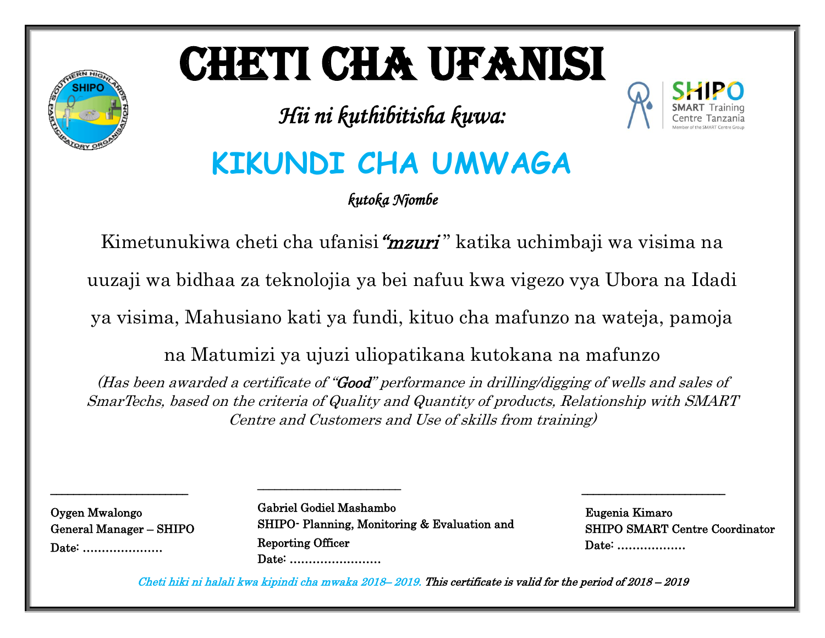# CHETI CHA UFANISI

*Hii ni kuthibitisha kuwa:* 



# **KIKUNDI CHA UMWAGA**

*kutoka Njombe* 

Kimetunukiwa cheti cha ufanisi "mzuri" katika uchimbaji wa visima na

uuzaji wa bidhaa za teknolojia ya bei nafuu kwa vigezo vya Ubora na Idadi

ya visima, Mahusiano kati ya fundi, kituo cha mafunzo na wateja, pamoja

na Matumizi ya ujuzi uliopatikana kutokana na mafunzo

(Has been awarded a certificate of "Good" performance in drilling/digging of wells and sales of SmarTechs, based on the criteria of Quality and Quantity of products, Relationship with SMART Centre and Customers and Use of skills from training)

Oygen Mwalongo General Manager – SHIPO Date: …………………

\_\_\_\_\_\_\_\_\_\_\_\_\_\_\_\_\_\_\_\_\_\_\_\_

Gabriel Godiel Mashambo SHIPO- Planning, Monitoring & Evaluation and Reporting Officer Date: ……………………

 $\overline{a}$ 

\_\_\_\_\_\_\_\_\_\_\_\_\_\_\_\_\_\_\_\_\_\_\_\_\_

 Eugenia Kimaro SHIPO SMART Centre Coordinator Date: ………………

 $\frac{1}{\sqrt{2}}$  ,  $\frac{1}{\sqrt{2}}$  ,  $\frac{1}{\sqrt{2}}$  ,  $\frac{1}{\sqrt{2}}$  ,  $\frac{1}{\sqrt{2}}$  ,  $\frac{1}{\sqrt{2}}$  ,  $\frac{1}{\sqrt{2}}$  ,  $\frac{1}{\sqrt{2}}$  ,  $\frac{1}{\sqrt{2}}$  ,  $\frac{1}{\sqrt{2}}$  ,  $\frac{1}{\sqrt{2}}$  ,  $\frac{1}{\sqrt{2}}$  ,  $\frac{1}{\sqrt{2}}$  ,  $\frac{1}{\sqrt{2}}$  ,  $\frac{1}{\sqrt{2}}$ 

Cheti hiki ni halali kwa kipindi cha mwaka 2018– 2019. This certificate is valid for the period of 2018 – 2019